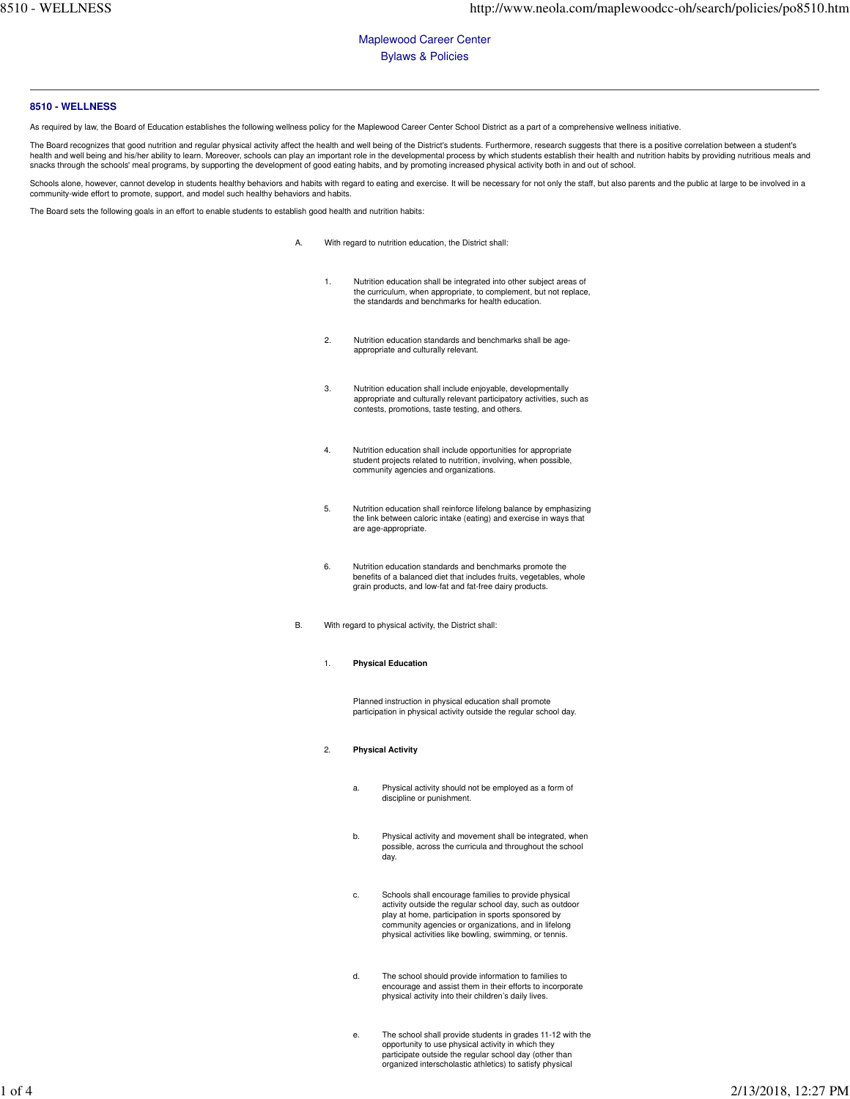Maplewood Career Center Bylaws & Policies

## **8510 - WELLNESS**

As required by law, the Board of Education establishes the following wellness policy for the Maplewood Career Center School District as a part of a comprehensive wellness initiative.

Boa<br>Ith a<br>cks The Board recognizes that good nutrition and regular physical activity affect the health and well being of the District's students. Furthermore, research suggests that there is a positive correlation between a student's<br>he

Schools alone, however, cannot develop in students healthy behaviors and habits with regard to eating and exercise. It will be necessary for not only the staff, but also parents and the public at large to be involved in a community-wide effort to promote, support, and model such healthy behaviors and habits.

The Board sets the following goals in an effort to enable students to establish good health and nutrition habits:

- A. With regard to nutrition education, the District shall:
	- 1. Nutrition education shall be integrated into other subject areas of the curriculum, when appropriate, to complement, but not replace, the standards and benchmarks for health education.
	- 2. Nutrition education standards and benchmarks shall be age-appropriate and culturally relevant.
	- 3. Nutrition education shall include enjoyable, developmentally appropriate and culturally relevant participatory activities, such as contests, promotions, taste testing, and others.
	- 4. Nutrition education shall include opportunities for appropriate student projects related to nutrition, involving, when possible, community agencies and organizations.
	- 5. Nutrition education shall reinforce lifelong balance by emphasizing the link between caloric intake (eating) and exercise in ways that are age-appropriate.
	- 6. Nutrition education standards and benchmarks promote the benefits of a balanced diet that includes fruits, vegetables, whole grain products, and low-fat and fat-free dairy products.
- B. With regard to physical activity, the District shall:
	- 1. **Physical Education**

 Planned instruction in physical education shall promote participation in physical activity outside the regular school day.

- 2. **Physical Activity** 
	- a. Physical activity should not be employed as a form of discipline or punishment.
	- b. Physical activity and movement shall be integrated, when possible, across the curricula and throughout the school day.
	- c. Schools shall encourage families to provide physical activity outside the regular school day, such as outdoor play at home, participation in sports sponsored by community agencies or organizations, and in lifelong physical activities like bowling, swimming, or tennis.
	- d. The school should provide information to families to encourage and assist them in their efforts to incorporate physical activity into their children's daily lives.
	- e. The school shall provide students in grades 11-12 with the opportunity to use physical activity in which they participate outside the regular school day (other than organized interscholastic athletics) to satisfy physical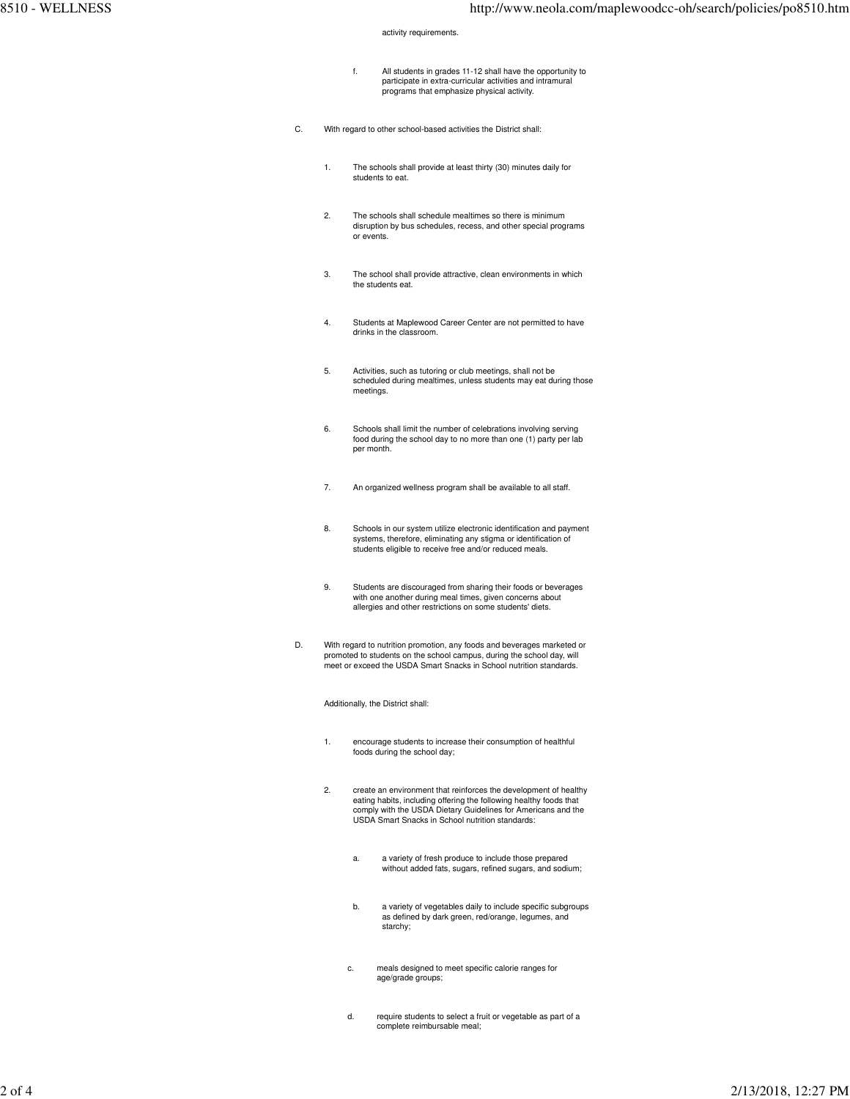activity requirements.

- f. All students in grades 11-12 shall have the opportunity to participate in extra-curricular activities and intramural programs that emphasize physical activity.
- With regard to other school-based activities the District shall: C.
	- 1. The schools shall provide at least thirty (30) minutes daily for students to eat.
	- 2. The schools shall schedule mealtimes so there is minimum disruption by bus schedules, recess, and other special programs or events.
	- 3. The school shall provide attractive, clean environments in which the students eat.
	- 4. Students at Maplewood Career Center are not permitted to have drinks in the classroom.
	- 5. Activities, such as tutoring or club meetings, shall not be scheduled during mealtimes, unless students may eat during those meetings.
	- 6. Schools shall limit the number of celebrations involving serving food during the school day to no more than one (1) party per lab per month.
	- 7. An organized wellness program shall be available to all staff.
	- 8. Schools in our system utilize electronic identification and payment systems, therefore, eliminating any stigma or identification of students eligible to receive free and/or reduced meals.
	- 9. Students are discouraged from sharing their foods or beverages with one another during meal times, given concerns about allergies and other restrictions on some students' diets.
- With regard to nutrition promotion, any foods and beverages marketed or promoted to students on the school campus, during the school day, will meet or exceed the USDA Smart Snacks in School nutrition standards. D.

Additionally, the District shall:

- 1. encourage students to increase their consumption of healthful foods during the school day;
- 2. create an environment that reinforces the development of healthy eating habits, including offering the following healthy foods that comply with the USDA Dietary Guidelines for Americans and the USDA Smart Snacks in School nutrition standards:
	- a. a variety of fresh produce to include those prepared without added fats, sugars, refined sugars, and sodium;
	- b. a variety of vegetables daily to include specific subgroups as defined by dark green, red/orange, legumes, and starchy;
	- c. meals designed to meet specific calorie ranges for age/grade groups;
	- d. require students to select a fruit or vegetable as part of a complete reimbursable meal;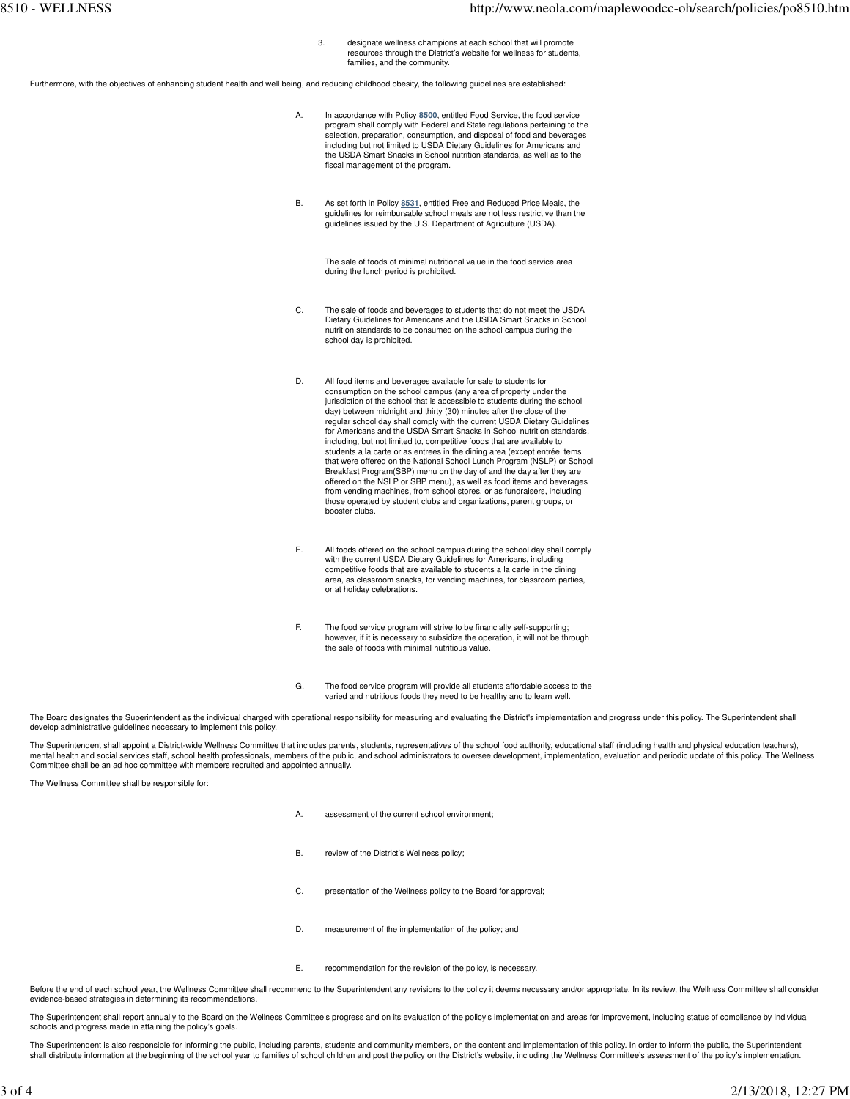3. designate wellness champions at each school that will promote resources through the District's website for wellness for students, families, and the community.

Furthermore, with the objectives of enhancing student health and well being, and reducing childhood obesity, the following guidelines are established:

- A. In accordance with Policy **8500**, entitled Food Service, the food service program shall comply with Federal and State regulations pertaining to the selection, preparation, consumption, and disposal of food and beverages including but not limited to USDA Dietary Guidelines for Americans and the USDA Smart Snacks in School nutrition standards, as well as to the fiscal management of the program.
- B. As set forth in Policy **8531**, entitled Free and Reduced Price Meals, the guidelines for reimbursable school meals are not less restrictive than the guidelines issued by the U.S. Department of Agriculture (USDA).

 The sale of foods of minimal nutritional value in the food service area during the lunch period is prohibited.

- C. The sale of foods and beverages to students that do not meet the USDA Dietary Guidelines for Americans and the USDA Smart Snacks in School nutrition standards to be consumed on the school campus during the school day is prohibited.
- D. All food items and beverages available for sale to students for consumption on the school campus (any area of property under the jurisdiction of the school that is accessible to students during the school day) between midnight and thirty (30) minutes after the close of the regular school day shall comply with the current USDA Dietary Guidelines for Americans and the USDA Smart Snacks in School nutrition standards, including, but not limited to, competitive foods that are available to students a la carte or as entrees in the dining area (except entrée items that were offered on the National School Lunch Program (NSLP) or School Breakfast Program(SBP) menu on the day of and the day after they are offered on the NSLP or SBP menu), as well as food items and beverages from vending machines, from school stores, or as fundraisers, including those operated by student clubs and organizations, parent groups, or booster clubs.
- E. All foods offered on the school campus during the school day shall comply with the current USDA Dietary Guidelines for Americans, including competitive foods that are available to students a la carte in the dining area, as classroom snacks, for vending machines, for classroom parties, or at holiday celebrations.
- F. The food service program will strive to be financially self-supporting; however, if it is necessary to subsidize the operation, it will not be through the sale of foods with minimal nutritious value.
- G. The food service program will provide all students affordable access to the varied and nutritious foods they need to be healthy and to learn well.

The Board designates the Superintendent as the individual charged with operational responsibility for measuring and evaluating the District's implementation and progress under this policy. The Superintendent shall develop administrative guidelines necessary to implement this policy.

 The Superintendent shall appoint a District-wide Wellness Committee that includes parents, students, representatives of the school food authority, educational staff (including health and physical education teachers), mental health and social services staff, school health professionals, members of the public, and school administrators to oversee development, implementation, evaluation and periodic update of this policy. The Wellness Committee shall be an ad hoc committee with members recruited and appointed annually.

The Wellness Committee shall be responsible for:

- A. assessment of the current school environment;
- B. review of the District's Wellness policy;
- C. presentation of the Wellness policy to the Board for approval;
- D. measurement of the implementation of the policy; and
- E. recommendation for the revision of the policy, is necessary.

Before the end of each school year, the Wellness Committee shall recommend to the Superintendent any revisions to the policy it deems necessary and/or appropriate. In its review, the Wellness Committee shall consider evidence-based strategies in determining its recommendations.

 The Superintendent shall report annually to the Board on the Wellness Committee's progress and on its evaluation of the policy's implementation and areas for improvement, including status of compliance by individual schools and progress made in attaining the policy's goals.

The Superintendent is also responsible for informing the public, including parents, students and community members, on the content and implementation of this policy. In order to inform the public, the Superintendent shall distribute information at the beginning of the school year to families of school children and post the policy on the District's website, including the Wellness Committee's assessment of the policy's implementation.